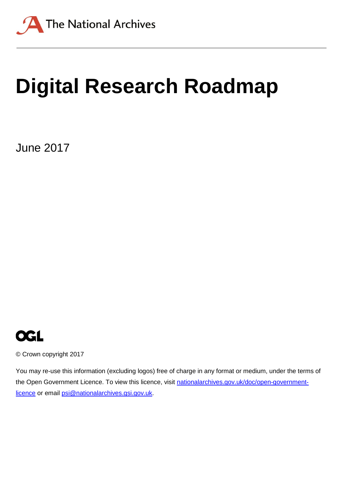

# **Digital Research Roadmap**

June 2017



© Crown copyright 2017

You may re-use this information (excluding logos) free of charge in any format or medium, under the terms of the Open Government Licence. To view this licence, visit [nationalarchives.gov.uk/doc/open-government](http://nationalarchives.gov.uk/doc/open-government-licence)[licence](http://nationalarchives.gov.uk/doc/open-government-licence) or email [psi@nationalarchives.gsi.gov.uk.](mailto:psi@nationalarchives.gsi.gov.uk)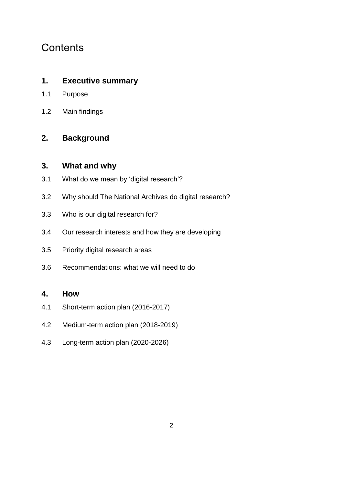## **Contents**

#### **1. Executive summary**

- 1.1 Purpose
- 1.2 Main findings

#### **2. Background**

#### **3. What and why**

- 3.1 What do we mean by 'digital research'?
- 3.2 Why should The National Archives do digital research?
- 3.3 Who is our digital research for?
- 3.4 Our research interests and how they are developing
- 3.5 Priority digital research areas
- 3.6 Recommendations: what we will need to do

#### **4. How**

- 4.1 Short-term action plan (2016-2017)
- 4.2 Medium-term action plan (2018-2019)
- 4.3 Long-term action plan (2020-2026)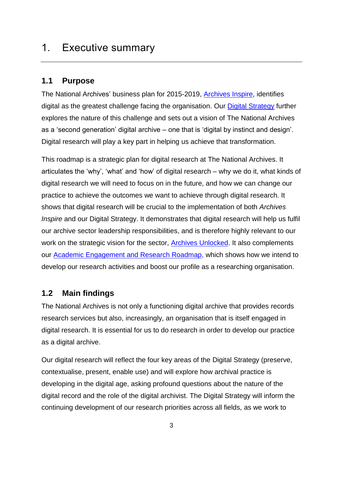## 1. Executive summary

#### **1.1 Purpose**

The National Archives' business plan for 2015-2019, [Archives Inspire,](http://www.nationalarchives.gov.uk/about/our-role/plans-policies-performance-and-projects/our-plans/archives-inspire/) identifies digital as the greatest challenge facing the organisation. Our [Digital Strategy](http://www.nationalarchives.gov.uk/about/our-role/plans-policies-performance-and-projects/our-plans/digital-strategy/) further explores the nature of this challenge and sets out a vision of The National Archives as a 'second generation' digital archive – one that is 'digital by instinct and design'. Digital research will play a key part in helping us achieve that transformation.

This roadmap is a strategic plan for digital research at The National Archives. It articulates the 'why', 'what' and 'how' of digital research – why we do it, what kinds of digital research we will need to focus on in the future, and how we can change our practice to achieve the outcomes we want to achieve through digital research. It shows that digital research will be crucial to the implementation of both *Archives Inspire* and our Digital Strategy. It demonstrates that digital research will help us fulfil our archive sector leadership responsibilities, and is therefore highly relevant to our work on the strategic vision for the sector, [Archives Unlocked.](http://www.nationalarchives.gov.uk/archives-sector/projects-and-programmes/strategic-vision-for-archives/) It also complements our [Academic Engagement and Research Roadmap,](http://www.nationalarchives.gov.uk/documents/academic-engagement-and-research-roadmap.pdf) which shows how we intend to develop our research activities and boost our profile as a researching organisation.

#### **1.2 Main findings**

The National Archives is not only a functioning digital archive that provides records research services but also, increasingly, an organisation that is itself engaged in digital research. It is essential for us to do research in order to develop our practice as a digital archive.

Our digital research will reflect the four key areas of the Digital Strategy (preserve, contextualise, present, enable use) and will explore how archival practice is developing in the digital age, asking profound questions about the nature of the digital record and the role of the digital archivist. The Digital Strategy will inform the continuing development of our research priorities across all fields, as we work to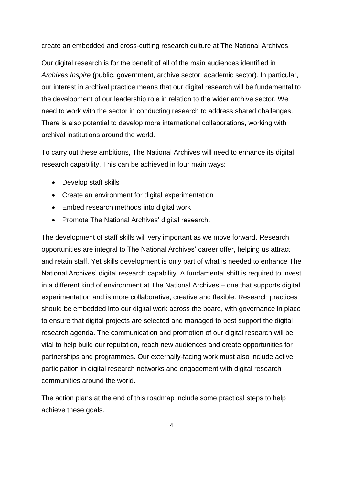create an embedded and cross-cutting research culture at The National Archives.

Our digital research is for the benefit of all of the main audiences identified in *Archives Inspire* (public, government, archive sector, academic sector). In particular, our interest in archival practice means that our digital research will be fundamental to the development of our leadership role in relation to the wider archive sector. We need to work with the sector in conducting research to address shared challenges. There is also potential to develop more international collaborations, working with archival institutions around the world.

To carry out these ambitions, The National Archives will need to enhance its digital research capability. This can be achieved in four main ways:

- Develop staff skills
- Create an environment for digital experimentation
- Embed research methods into digital work
- Promote The National Archives' digital research.

The development of staff skills will very important as we move forward. Research opportunities are integral to The National Archives' career offer, helping us attract and retain staff. Yet skills development is only part of what is needed to enhance The National Archives' digital research capability. A fundamental shift is required to invest in a different kind of environment at The National Archives – one that supports digital experimentation and is more collaborative, creative and flexible. Research practices should be embedded into our digital work across the board, with governance in place to ensure that digital projects are selected and managed to best support the digital research agenda. The communication and promotion of our digital research will be vital to help build our reputation, reach new audiences and create opportunities for partnerships and programmes. Our externally-facing work must also include active participation in digital research networks and engagement with digital research communities around the world.

The action plans at the end of this roadmap include some practical steps to help achieve these goals.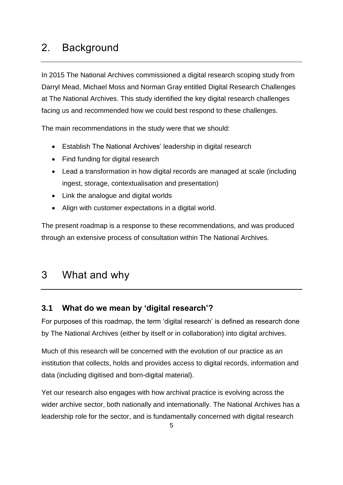## 2. Background

In 2015 The National Archives commissioned a digital research scoping study from Darryl Mead, Michael Moss and Norman Gray entitled Digital Research Challenges at The National Archives. This study identified the key digital research challenges facing us and recommended how we could best respond to these challenges.

The main recommendations in the study were that we should:

- Establish The National Archives' leadership in digital research
- Find funding for digital research
- Lead a transformation in how digital records are managed at scale (including ingest, storage, contextualisation and presentation)
- Link the analogue and digital worlds
- Align with customer expectations in a digital world.

The present roadmap is a response to these recommendations, and was produced through an extensive process of consultation within The National Archives.

## 3 What and why

#### **3.1 What do we mean by 'digital research'?**

For purposes of this roadmap, the term 'digital research' is defined as research done by The National Archives (either by itself or in collaboration) into digital archives.

Much of this research will be concerned with the evolution of our practice as an institution that collects, holds and provides access to digital records, information and data (including digitised and born-digital material).

Yet our research also engages with how archival practice is evolving across the wider archive sector, both nationally and internationally. The National Archives has a leadership role for the sector, and is fundamentally concerned with digital research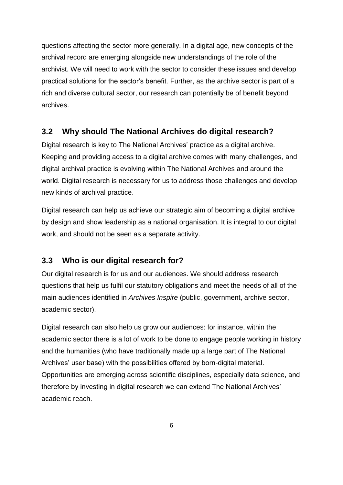questions affecting the sector more generally. In a digital age, new concepts of the archival record are emerging alongside new understandings of the role of the archivist. We will need to work with the sector to consider these issues and develop practical solutions for the sector's benefit. Further, as the archive sector is part of a rich and diverse cultural sector, our research can potentially be of benefit beyond archives.

#### **3.2 Why should The National Archives do digital research?**

Digital research is key to The National Archives' practice as a digital archive. Keeping and providing access to a digital archive comes with many challenges, and digital archival practice is evolving within The National Archives and around the world. Digital research is necessary for us to address those challenges and develop new kinds of archival practice.

Digital research can help us achieve our strategic aim of becoming a digital archive by design and show leadership as a national organisation. It is integral to our digital work, and should not be seen as a separate activity.

#### **3.3 Who is our digital research for?**

Our digital research is for us and our audiences. We should address research questions that help us fulfil our statutory obligations and meet the needs of all of the main audiences identified in *Archives Inspire* (public, government, archive sector, academic sector).

Digital research can also help us grow our audiences: for instance, within the academic sector there is a lot of work to be done to engage people working in history and the humanities (who have traditionally made up a large part of The National Archives' user base) with the possibilities offered by born-digital material. Opportunities are emerging across scientific disciplines, especially data science, and therefore by investing in digital research we can extend The National Archives' academic reach.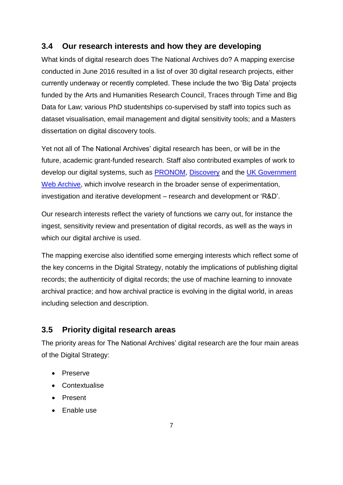#### **3.4 Our research interests and how they are developing**

What kinds of digital research does The National Archives do? A mapping exercise conducted in June 2016 resulted in a list of over 30 digital research projects, either currently underway or recently completed. These include the two 'Big Data' projects funded by the Arts and Humanities Research Council, Traces through Time and Big Data for Law; various PhD studentships co-supervised by staff into topics such as dataset visualisation, email management and digital sensitivity tools; and a Masters dissertation on digital discovery tools.

Yet not all of The National Archives' digital research has been, or will be in the future, academic grant-funded research. Staff also contributed examples of work to develop our digital systems, such as [PRONOM,](https://www.nationalarchives.gov.uk/PRONOM/Default.aspx) [Discovery](http://discovery.nationalarchives.gov.uk/) and the UK Government [Web Archive,](http://www.nationalarchives.gov.uk/webarchive/default.htm) which involve research in the broader sense of experimentation, investigation and iterative development – research and development or 'R&D'.

Our research interests reflect the variety of functions we carry out, for instance the ingest, sensitivity review and presentation of digital records, as well as the ways in which our digital archive is used.

The mapping exercise also identified some emerging interests which reflect some of the key concerns in the Digital Strategy, notably the implications of publishing digital records; the authenticity of digital records; the use of machine learning to innovate archival practice; and how archival practice is evolving in the digital world, in areas including selection and description.

#### **3.5 Priority digital research areas**

The priority areas for The National Archives' digital research are the four main areas of the Digital Strategy:

- Preserve
- Contextualise
- Present
- Enable use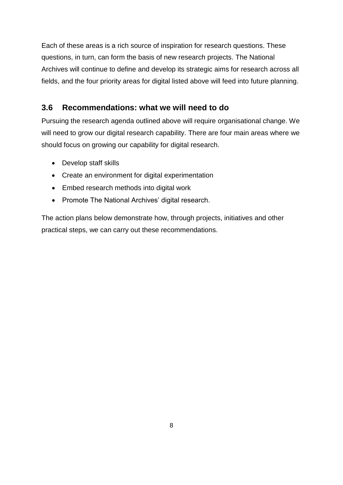Each of these areas is a rich source of inspiration for research questions. These questions, in turn, can form the basis of new research projects. The National Archives will continue to define and develop its strategic aims for research across all fields, and the four priority areas for digital listed above will feed into future planning.

#### **3.6 Recommendations: what we will need to do**

Pursuing the research agenda outlined above will require organisational change. We will need to grow our digital research capability. There are four main areas where we should focus on growing our capability for digital research.

- Develop staff skills
- Create an environment for digital experimentation
- Embed research methods into digital work
- Promote The National Archives' digital research.

The action plans below demonstrate how, through projects, initiatives and other practical steps, we can carry out these recommendations.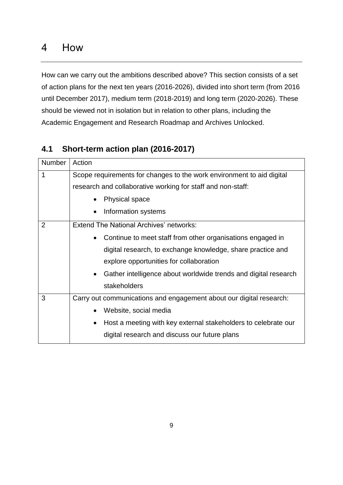## 4 How

How can we carry out the ambitions described above? This section consists of a set of action plans for the next ten years (2016-2026), divided into short term (from 2016 until December 2017), medium term (2018-2019) and long term (2020-2026). These should be viewed not in isolation but in relation to other plans, including the Academic Engagement and Research Roadmap and Archives Unlocked.

## **4.1 Short-term action plan (2016-2017)**

| <b>Number</b>  | Action                                                                      |
|----------------|-----------------------------------------------------------------------------|
| 1              | Scope requirements for changes to the work environment to aid digital       |
|                | research and collaborative working for staff and non-staff:                 |
|                | <b>Physical space</b><br>$\bullet$                                          |
|                | Information systems<br>$\bullet$                                            |
| $\overline{2}$ | <b>Extend The National Archives' networks:</b>                              |
|                | Continue to meet staff from other organisations engaged in<br>$\bullet$     |
|                | digital research, to exchange knowledge, share practice and                 |
|                | explore opportunities for collaboration                                     |
|                | Gather intelligence about worldwide trends and digital research             |
|                | stakeholders                                                                |
| 3              | Carry out communications and engagement about our digital research:         |
|                | Website, social media<br>$\bullet$                                          |
|                | Host a meeting with key external stakeholders to celebrate our<br>$\bullet$ |
|                | digital research and discuss our future plans                               |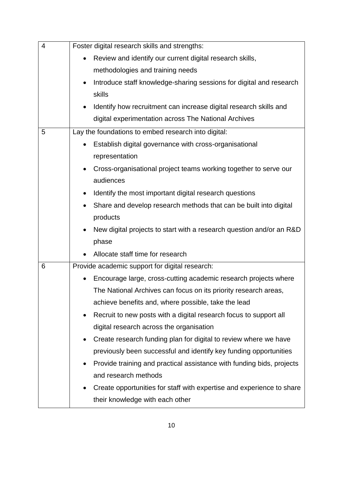| $\overline{4}$ | Foster digital research skills and strengths:                              |
|----------------|----------------------------------------------------------------------------|
|                | Review and identify our current digital research skills,                   |
|                | methodologies and training needs                                           |
|                | Introduce staff knowledge-sharing sessions for digital and research        |
|                | skills                                                                     |
|                | Identify how recruitment can increase digital research skills and          |
|                | digital experimentation across The National Archives                       |
| 5              | Lay the foundations to embed research into digital:                        |
|                | Establish digital governance with cross-organisational                     |
|                | representation                                                             |
|                | Cross-organisational project teams working together to serve our           |
|                | audiences                                                                  |
|                | Identify the most important digital research questions                     |
|                | Share and develop research methods that can be built into digital          |
|                | products                                                                   |
|                | New digital projects to start with a research question and/or an R&D       |
|                | phase                                                                      |
|                | Allocate staff time for research                                           |
| 6              | Provide academic support for digital research:                             |
|                | Encourage large, cross-cutting academic research projects where            |
|                | The National Archives can focus on its priority research areas,            |
|                | achieve benefits and, where possible, take the lead                        |
|                | Recruit to new posts with a digital research focus to support all          |
|                | digital research across the organisation                                   |
|                | Create research funding plan for digital to review where we have<br>٠      |
|                | previously been successful and identify key funding opportunities          |
|                | Provide training and practical assistance with funding bids, projects<br>٠ |
|                | and research methods                                                       |
|                | Create opportunities for staff with expertise and experience to share      |
|                | their knowledge with each other                                            |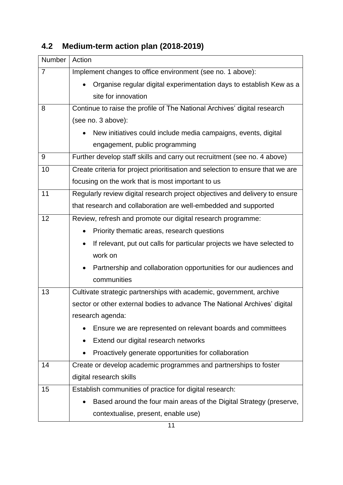| Number         | Action                                                                              |
|----------------|-------------------------------------------------------------------------------------|
| $\overline{7}$ | Implement changes to office environment (see no. 1 above):                          |
|                | Organise regular digital experimentation days to establish Kew as a                 |
|                | site for innovation                                                                 |
| 8              | Continue to raise the profile of The National Archives' digital research            |
|                | (see no. 3 above):                                                                  |
|                | New initiatives could include media campaigns, events, digital                      |
|                | engagement, public programming                                                      |
| 9              | Further develop staff skills and carry out recruitment (see no. 4 above)            |
| 10             | Create criteria for project prioritisation and selection to ensure that we are      |
|                | focusing on the work that is most important to us                                   |
| 11             | Regularly review digital research project objectives and delivery to ensure         |
|                | that research and collaboration are well-embedded and supported                     |
| 12             | Review, refresh and promote our digital research programme:                         |
|                | Priority thematic areas, research questions                                         |
|                | If relevant, put out calls for particular projects we have selected to<br>$\bullet$ |
|                | work on                                                                             |
|                | Partnership and collaboration opportunities for our audiences and                   |
|                | communities                                                                         |
| 13             | Cultivate strategic partnerships with academic, government, archive                 |
|                | sector or other external bodies to advance The National Archives' digital           |
|                | research agenda:                                                                    |
|                | Ensure we are represented on relevant boards and committees                         |
|                | Extend our digital research networks                                                |
|                | Proactively generate opportunities for collaboration                                |
| 14             | Create or develop academic programmes and partnerships to foster                    |
|                | digital research skills                                                             |
| 15             | Establish communities of practice for digital research:                             |
|                | Based around the four main areas of the Digital Strategy (preserve,                 |
|                | contextualise, present, enable use)                                                 |

# **4.2 Medium-term action plan (2018-2019)**